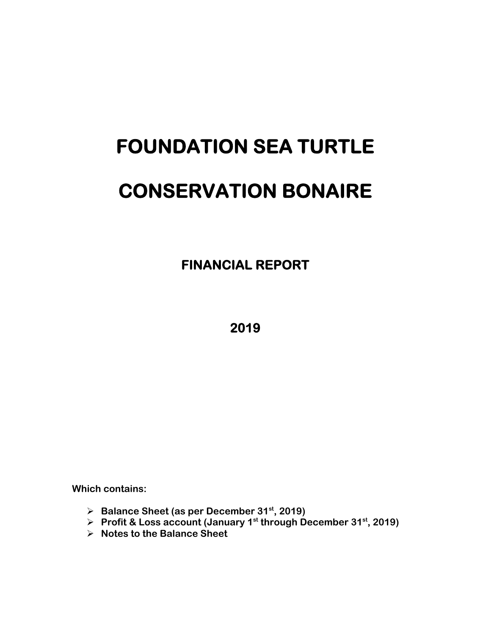# **FOUNDATION SEA TURTLE CONSERVATION BONAIRE**

 **FINANCIAL REPORT** 

**2019** 

**Which contains:** 

- **Balance Sheet (as per December 31st, 2019)**
- **▶ Profit & Loss account (January 1st through December 31st, 2019)**
- **Notes to the Balance Sheet**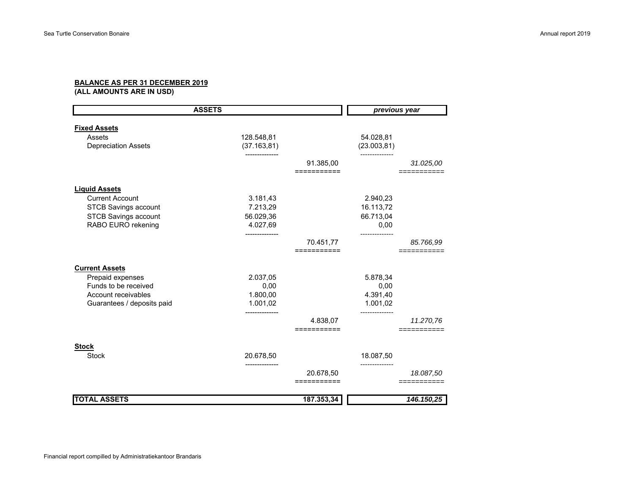## **BALANCE AS PER 31 DECEMBER 2019**

**(ALL AMOUNTS ARE IN USD)**

| <b>ASSETS</b>                 |                            |                       | previous year             |            |
|-------------------------------|----------------------------|-----------------------|---------------------------|------------|
|                               |                            |                       |                           |            |
| <b>Fixed Assets</b><br>Assets |                            |                       |                           |            |
| <b>Depreciation Assets</b>    | 128.548,81<br>(37.163, 81) |                       | 54.028,81<br>(23.003, 81) |            |
|                               |                            |                       |                           |            |
|                               |                            | 91.385,00             |                           | 31.025,00  |
|                               |                            | ==========            |                           |            |
| <b>Liquid Assets</b>          |                            |                       |                           |            |
| <b>Current Account</b>        | 3.181,43                   |                       | 2.940,23                  |            |
| <b>STCB Savings account</b>   | 7.213,29                   |                       | 16.113,72                 |            |
| <b>STCB Savings account</b>   | 56.029,36                  |                       | 66.713,04                 |            |
| RABO EURO rekening            | 4.027,69                   |                       | 0,00                      |            |
|                               |                            |                       |                           |            |
|                               |                            | 70.451,77             |                           | 85.766,99  |
|                               |                            | ===========           |                           |            |
| <b>Current Assets</b>         |                            |                       |                           |            |
| Prepaid expenses              | 2.037,05                   |                       | 5.878,34                  |            |
| Funds to be received          | 0,00                       |                       | 0,00                      |            |
| Account receivables           | 1.800,00                   |                       | 4.391,40                  |            |
| Guarantees / deposits paid    | 1.001,02                   |                       | 1.001,02                  |            |
|                               |                            |                       | -----------               |            |
|                               |                            | 4.838,07<br>========= |                           | 11.270,76  |
|                               |                            |                       |                           |            |
| <b>Stock</b>                  |                            |                       |                           |            |
| <b>Stock</b>                  | 20.678,50                  |                       | 18.087,50                 |            |
|                               |                            |                       |                           |            |
|                               |                            | 20.678,50             |                           | 18.087,50  |
|                               |                            | ===========           |                           |            |
| <b>TOTAL ASSETS</b>           |                            | 187.353,34            |                           | 146.150,25 |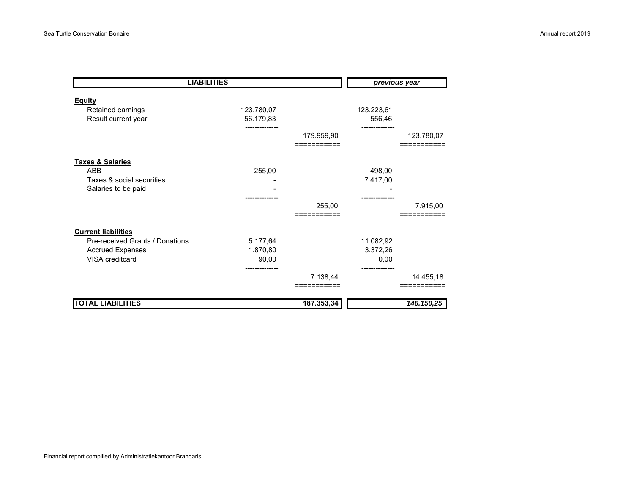| <b>LIABILITIES</b>              |            |                       | previous year |                         |  |
|---------------------------------|------------|-----------------------|---------------|-------------------------|--|
| <b>Equity</b>                   |            |                       |               |                         |  |
| Retained earnings               | 123.780,07 |                       | 123.223,61    |                         |  |
| Result current year             | 56.179,83  |                       | 556,46        |                         |  |
|                                 |            | 179.959,90            |               | 123.780,07              |  |
|                                 |            |                       |               |                         |  |
| <b>Taxes &amp; Salaries</b>     |            |                       |               |                         |  |
| <b>ABB</b>                      | 255,00     |                       | 498,00        |                         |  |
| Taxes & social securities       |            |                       | 7.417,00      |                         |  |
| Salaries to be paid             |            |                       |               |                         |  |
|                                 |            |                       |               |                         |  |
|                                 |            | 255,00                |               | 7.915,00                |  |
|                                 |            |                       |               |                         |  |
| <b>Current liabilities</b>      |            |                       |               |                         |  |
| Pre-received Grants / Donations | 5.177,64   |                       | 11.082,92     |                         |  |
| <b>Accrued Expenses</b>         | 1.870,80   |                       | 3.372,26      |                         |  |
| VISA creditcard                 | 90,00      |                       | 0,00          |                         |  |
|                                 |            | 7.138,44<br>========= |               | 14.455,18               |  |
| <b>TOTAL LIABILITIES</b>        |            | 187.353,34            |               | $\overline{146.150,25}$ |  |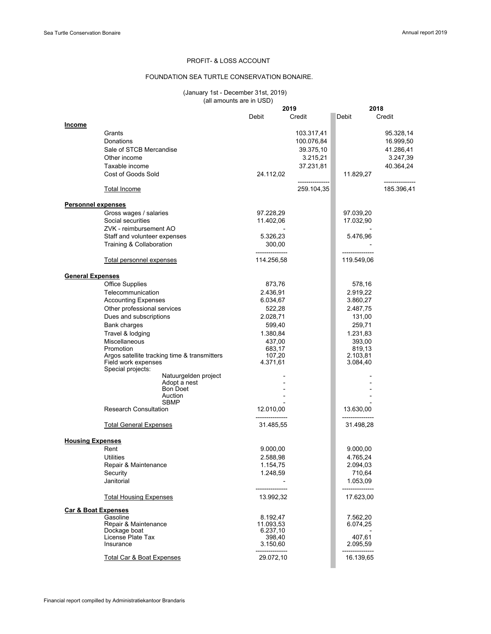### PROFIT- & LOSS ACCOUNT

#### FOUNDATION SEA TURTLE CONSERVATION BONAIRE.

#### (January 1st - December 31st, 2019) (all amounts are in USD)

|                                |                                                                                          |                    | 2019                        | 2018                 |                              |
|--------------------------------|------------------------------------------------------------------------------------------|--------------------|-----------------------------|----------------------|------------------------------|
|                                |                                                                                          | Debit              | Credit                      | Debit                | Credit                       |
| <b>Income</b>                  |                                                                                          |                    |                             |                      |                              |
|                                | Grants                                                                                   |                    | 103.317,41                  |                      | 95.328,14                    |
|                                | Donations                                                                                |                    | 100.076,84                  |                      | 16.999,50                    |
|                                | Sale of STCB Mercandise                                                                  |                    |                             |                      | 41.286,41                    |
|                                |                                                                                          |                    | 39.375,10                   |                      |                              |
|                                | Other income                                                                             |                    | 3.215,21                    |                      | 3.247,39                     |
|                                | Taxable income                                                                           |                    | 37.231,81                   |                      | 40.364,24                    |
|                                | Cost of Goods Sold                                                                       | 24.112,02          |                             | 11.829,27            |                              |
|                                | <u>Total Income</u>                                                                      |                    | -------------<br>259.104,35 |                      | --------------<br>185.396,41 |
| <b>Personnel expenses</b>      |                                                                                          |                    |                             |                      |                              |
|                                | Gross wages / salaries                                                                   | 97.228,29          |                             | 97.039,20            |                              |
|                                | Social securities                                                                        | 11.402,06          |                             | 17.032,90            |                              |
|                                | ZVK - reimbursement AO                                                                   |                    |                             |                      |                              |
|                                | Staff and volunteer expenses                                                             | 5.326,23           |                             | 5.476,96             |                              |
|                                |                                                                                          |                    |                             |                      |                              |
|                                | Training & Collaboration                                                                 | 300,00             |                             |                      |                              |
|                                | Total personnel expenses                                                                 | 114.256,58         |                             | 119.549,06           |                              |
|                                |                                                                                          |                    |                             |                      |                              |
| <b>General Expenses</b>        |                                                                                          |                    |                             |                      |                              |
|                                | <b>Office Supplies</b>                                                                   | 873,76             |                             | 578,16               |                              |
|                                | Telecommunication                                                                        | 2.436,91           |                             | 2.919,22             |                              |
|                                | <b>Accounting Expenses</b>                                                               | 6.034,67           |                             | 3.860,27             |                              |
|                                | Other professional services                                                              | 522,28             |                             | 2.487,75             |                              |
|                                | Dues and subscriptions                                                                   | 2.028,71           |                             | 131,00               |                              |
|                                | <b>Bank charges</b>                                                                      | 599,40             |                             | 259,71               |                              |
|                                |                                                                                          |                    |                             |                      |                              |
|                                | Travel & lodging                                                                         | 1.380,84           |                             | 1.231,83             |                              |
|                                | Miscellaneous                                                                            | 437,00             |                             | 393,00               |                              |
|                                | Promotion                                                                                | 683,17             |                             | 819,13               |                              |
|                                | Argos satellite tracking time & transmitters<br>Field work expenses<br>Special projects: | 107,20<br>4.371,61 |                             | 2.103,81<br>3.084,40 |                              |
|                                | Natuurgelden project                                                                     |                    |                             |                      |                              |
|                                | Adopt a nest                                                                             |                    |                             |                      |                              |
|                                | <b>Bon Doet</b>                                                                          |                    |                             |                      |                              |
|                                | Auction                                                                                  |                    |                             |                      |                              |
|                                | <b>SBMP</b>                                                                              |                    |                             |                      |                              |
|                                | <b>Research Consultation</b>                                                             | 12.010,00          |                             | 13.630,00            |                              |
|                                | <b>Total General Expenses</b>                                                            | 31.485,55          |                             | 31.498,28            |                              |
|                                |                                                                                          |                    |                             |                      |                              |
| <b>Housing Expenses</b>        |                                                                                          |                    |                             |                      |                              |
|                                | Rent                                                                                     | 9.000,00           |                             | 9.000,00             |                              |
|                                | Utilities                                                                                | 2.588,98           |                             | 4.765,24             |                              |
|                                | Repair & Maintenance                                                                     | 1.154,75           |                             | 2.094,03             |                              |
|                                | Security                                                                                 | 1.248,59           |                             | 710,64               |                              |
|                                | Janitorial                                                                               |                    |                             | 1.053,09             |                              |
|                                |                                                                                          |                    |                             |                      |                              |
|                                | <b>Total Housing Expenses</b>                                                            | 13.992,32          |                             | 17.623,00            |                              |
| <b>Car &amp; Boat Expenses</b> |                                                                                          |                    |                             |                      |                              |
|                                | Gasoline                                                                                 | 8.192,47           |                             | 7.562,20             |                              |
|                                | Repair & Maintenance                                                                     | 11.093,53          |                             | 6.074,25             |                              |
|                                | Dockage boat                                                                             | 6.237,10           |                             |                      |                              |
|                                | License Plate Tax<br>Insurance                                                           | 398,40<br>3.150,60 |                             | 407,61<br>2.095,59   |                              |
|                                |                                                                                          |                    |                             |                      |                              |
|                                | <b>Total Car &amp; Boat Expenses</b>                                                     | 29.072,10          |                             | 16.139,65            |                              |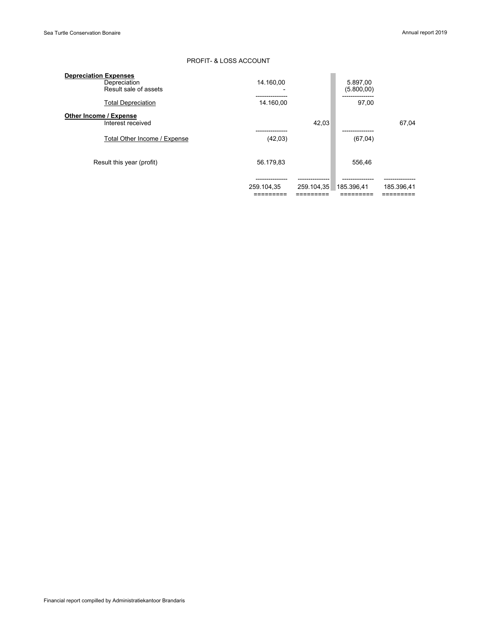### PROFIT- & LOSS ACCOUNT

| <b>Depreciation Expenses</b> |            |            |             |            |
|------------------------------|------------|------------|-------------|------------|
| Depreciation                 | 14.160.00  |            | 5.897,00    |            |
| Result sale of assets        |            |            | (5.800, 00) |            |
| <b>Total Depreciation</b>    | 14.160.00  |            | 97.00       |            |
| Other Income / Expense       |            |            |             |            |
| Interest received            |            | 42.03      |             | 67.04      |
|                              |            |            |             |            |
| Total Other Income / Expense | (42,03)    |            | (67, 04)    |            |
|                              |            |            |             |            |
| Result this year (profit)    | 56.179,83  |            | 556.46      |            |
|                              |            |            |             |            |
|                              |            |            |             |            |
|                              | 259.104,35 | 259.104,35 | 185.396,41  | 185.396.41 |
|                              |            |            |             |            |